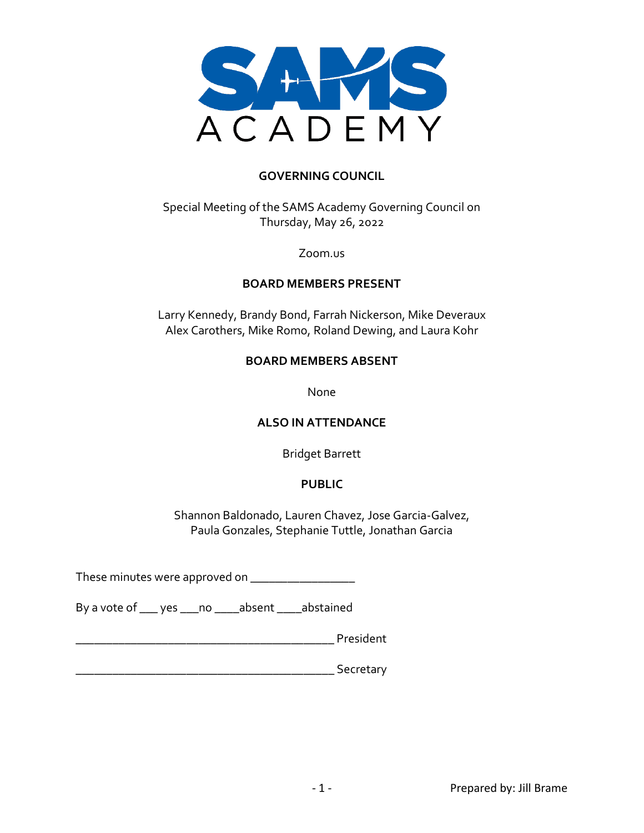

### **GOVERNING COUNCIL**

Special Meeting of the SAMS Academy Governing Council on Thursday, May 26, 2022

Zoom.us

#### **BOARD MEMBERS PRESENT**

Larry Kennedy, Brandy Bond, Farrah Nickerson, Mike Deveraux Alex Carothers, Mike Romo, Roland Dewing, and Laura Kohr

### **BOARD MEMBERS ABSENT**

None

#### **ALSO IN ATTENDANCE**

Bridget Barrett

### **PUBLIC**

Shannon Baldonado, Lauren Chavez, Jose Garcia-Galvez, Paula Gonzales, Stephanie Tuttle, Jonathan Garcia

These minutes were approved on \_\_\_\_\_\_\_\_\_\_\_\_\_\_\_\_\_\_\_\_\_\_

By a vote of \_\_\_ yes \_\_\_no \_\_\_\_absent \_\_\_\_abstained

|  | President |
|--|-----------|
|--|-----------|

\_\_\_\_\_\_\_\_\_\_\_\_\_\_\_\_\_\_\_\_\_\_\_\_\_\_\_\_\_\_\_\_\_\_\_\_\_\_\_\_\_\_ Secretary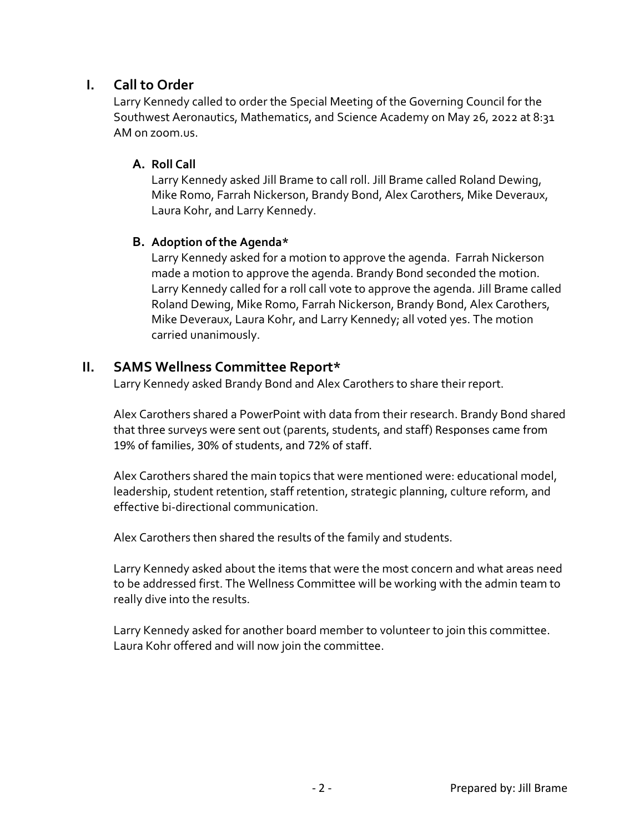# **I. Call to Order**

Larry Kennedy called to order the Special Meeting of the Governing Council for the Southwest Aeronautics, Mathematics, and Science Academy on May 26, 2022 at 8:31 AM on zoom.us.

## **A. Roll Call**

Larry Kennedy asked Jill Brame to call roll. Jill Brame called Roland Dewing, Mike Romo, Farrah Nickerson, Brandy Bond, Alex Carothers, Mike Deveraux, Laura Kohr, and Larry Kennedy.

## **B. Adoption of the Agenda\***

Larry Kennedy asked for a motion to approve the agenda. Farrah Nickerson made a motion to approve the agenda. Brandy Bond seconded the motion. Larry Kennedy called for a roll call vote to approve the agenda. Jill Brame called Roland Dewing, Mike Romo, Farrah Nickerson, Brandy Bond, Alex Carothers, Mike Deveraux, Laura Kohr, and Larry Kennedy; all voted yes. The motion carried unanimously.

# **II. SAMS Wellness Committee Report\***

Larry Kennedy asked Brandy Bond and Alex Carothers to share their report.

Alex Carothers shared a PowerPoint with data from their research. Brandy Bond shared that three surveys were sent out (parents, students, and staff) Responses came from 19% of families, 30% of students, and 72% of staff.

Alex Carothers shared the main topics that were mentioned were: educational model, leadership, student retention, staff retention, strategic planning, culture reform, and effective bi-directional communication.

Alex Carothers then shared the results of the family and students.

Larry Kennedy asked about the items that were the most concern and what areas need to be addressed first. The Wellness Committee will be working with the admin team to really dive into the results.

Larry Kennedy asked for another board member to volunteer to join this committee. Laura Kohr offered and will now join the committee.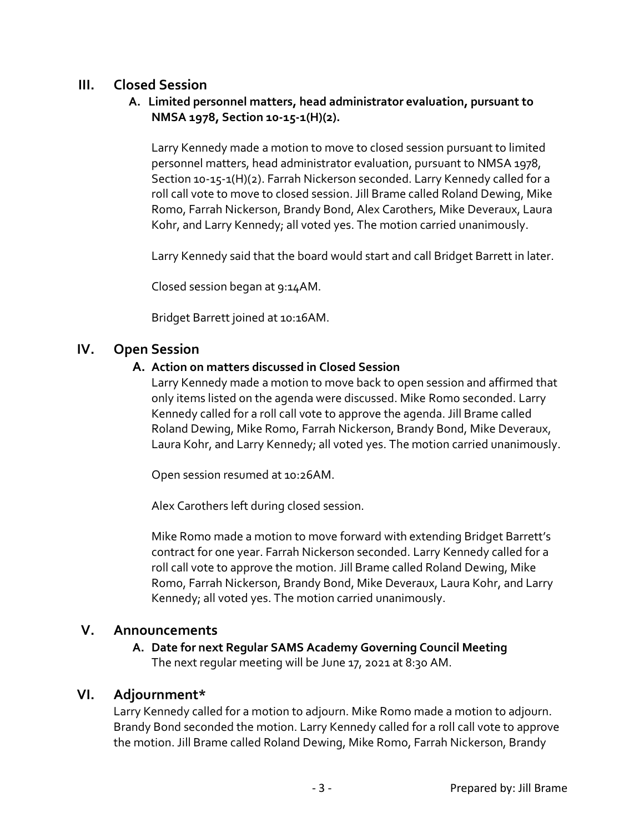# **III. Closed Session**

## **A. Limited personnel matters, head administrator evaluation, pursuant to NMSA 1978, Section 10-15-1(H)(2).**

Larry Kennedy made a motion to move to closed session pursuant to limited personnel matters, head administrator evaluation, pursuant to NMSA 1978, Section 10-15-1(H)(2). Farrah Nickerson seconded. Larry Kennedy called for a roll call vote to move to closed session. Jill Brame called Roland Dewing, Mike Romo, Farrah Nickerson, Brandy Bond, Alex Carothers, Mike Deveraux, Laura Kohr, and Larry Kennedy; all voted yes. The motion carried unanimously.

Larry Kennedy said that the board would start and call Bridget Barrett in later.

Closed session began at 9:14AM.

Bridget Barrett joined at 10:16AM.

## **IV. Open Session**

### **A. Action on matters discussed in Closed Session**

Larry Kennedy made a motion to move back to open session and affirmed that only items listed on the agenda were discussed. Mike Romo seconded. Larry Kennedy called for a roll call vote to approve the agenda. Jill Brame called Roland Dewing, Mike Romo, Farrah Nickerson, Brandy Bond, Mike Deveraux, Laura Kohr, and Larry Kennedy; all voted yes. The motion carried unanimously.

Open session resumed at 10:26AM.

Alex Carothers left during closed session.

Mike Romo made a motion to move forward with extending Bridget Barrett's contract for one year. Farrah Nickerson seconded. Larry Kennedy called for a roll call vote to approve the motion. Jill Brame called Roland Dewing, Mike Romo, Farrah Nickerson, Brandy Bond, Mike Deveraux, Laura Kohr, and Larry Kennedy; all voted yes. The motion carried unanimously.

## **V. Announcements**

### **A. Date for next Regular SAMS Academy Governing Council Meeting**  The next regular meeting will be June 17, 2021 at 8:30 AM.

## **VI. Adjournment\***

Larry Kennedy called for a motion to adjourn. Mike Romo made a motion to adjourn. Brandy Bond seconded the motion. Larry Kennedy called for a roll call vote to approve the motion. Jill Brame called Roland Dewing, Mike Romo, Farrah Nickerson, Brandy